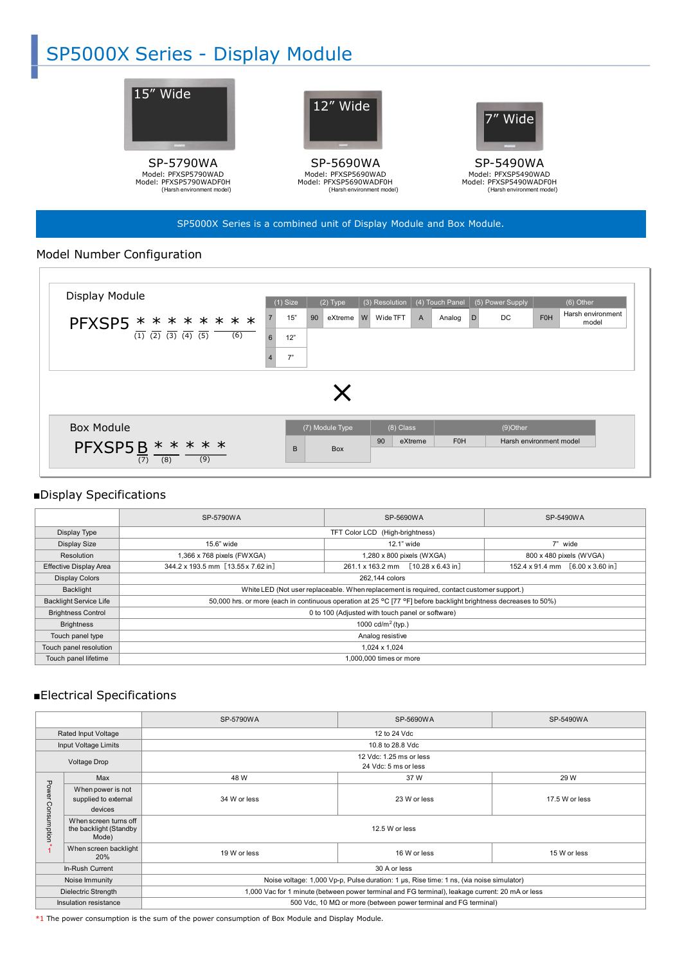# SP5000X Series - Display Module



#### SP5000X Series is a combined unit of Display Module and Box Module.

## Model Number Configuration



## ■Display Specifications

|                               | SP-5790WA                                                                                                        | SP-5690WA                                     | SP-5490WA                                                      |
|-------------------------------|------------------------------------------------------------------------------------------------------------------|-----------------------------------------------|----------------------------------------------------------------|
| Display Type                  | TFT Color LCD (High-brightness)                                                                                  |                                               |                                                                |
| Display Size                  | 15.6" wide                                                                                                       | 12.1" wide                                    | 7" wide                                                        |
| Resolution                    | 1,366 x 768 pixels (FWXGA)                                                                                       | 1,280 x 800 pixels (WXGA)                     | 800 x 480 pixels (WVGA)                                        |
| <b>Effective Display Area</b> | 344.2 x 193.5 mm [13.55 x 7.62 in]                                                                               | $[10.28 \times 6.43]$ in]<br>261.1 x 163.2 mm | $152.4 \times 91.4 \text{ mm}$ $[6.00 \times 3.60 \text{ in}]$ |
| <b>Display Colors</b>         | 262.144 colors                                                                                                   |                                               |                                                                |
| Backlight                     | White LED (Not user replaceable. When replacement is required, contact customer support.)                        |                                               |                                                                |
| <b>Backlight Service Life</b> | 50,000 hrs. or more (each in continuous operation at 25 °C [77 °F] before backlight brightness decreases to 50%) |                                               |                                                                |
| <b>Brightness Control</b>     | 0 to 100 (Adjusted with touch panel or software)                                                                 |                                               |                                                                |
| <b>Brightness</b>             | 1000 cd/m <sup>2</sup> (typ.)                                                                                    |                                               |                                                                |
| Touch panel type              | Analog resistive                                                                                                 |                                               |                                                                |
| Touch panel resolution        | 1,024 x 1,024                                                                                                    |                                               |                                                                |
| Touch panel lifetime          | 1,000,000 times or more                                                                                          |                                               |                                                                |

## ■Electrical Specifications

|                       |                                                          | SP-5790WA                                                                                       | SP-5690WA    | SP-5490WA      |  |
|-----------------------|----------------------------------------------------------|-------------------------------------------------------------------------------------------------|--------------|----------------|--|
| Rated Input Voltage   |                                                          | 12 to 24 Vdc                                                                                    |              |                |  |
| Input Voltage Limits  |                                                          | 10.8 to 28.8 Vdc                                                                                |              |                |  |
| Voltage Drop          |                                                          | 12 Vdc: 1.25 ms or less<br>24 Vdc: 5 ms or less                                                 |              |                |  |
|                       | Max                                                      | 48 W                                                                                            | 37 W         | 29 W           |  |
| Power                 | When power is not<br>supplied to external<br>devices     | 34 W or less                                                                                    | 23 W or less | 17.5 W or less |  |
| Consumption           | When screen turns off<br>the backlight (Standby<br>Mode) | 12.5 W or less                                                                                  |              |                |  |
|                       | When screen backlight<br>20%                             | 19 W or less                                                                                    | 16 W or less | 15 W or less   |  |
| In-Rush Current       |                                                          | 30 A or less                                                                                    |              |                |  |
| Noise Immunity        |                                                          | Noise voltage: 1,000 Vp-p, Pulse duration: 1 µs, Rise time: 1 ns, (via noise simulator)         |              |                |  |
| Dielectric Strength   |                                                          | 1,000 Vac for 1 minute (between power terminal and FG terminal), leakage current: 20 mA or less |              |                |  |
| Insulation resistance |                                                          | 500 Vdc, 10 $M\Omega$ or more (between power terminal and FG terminal)                          |              |                |  |
|                       |                                                          |                                                                                                 |              |                |  |

\*1 The power consumption is the sum of the power consumption of Box Module and Display Module.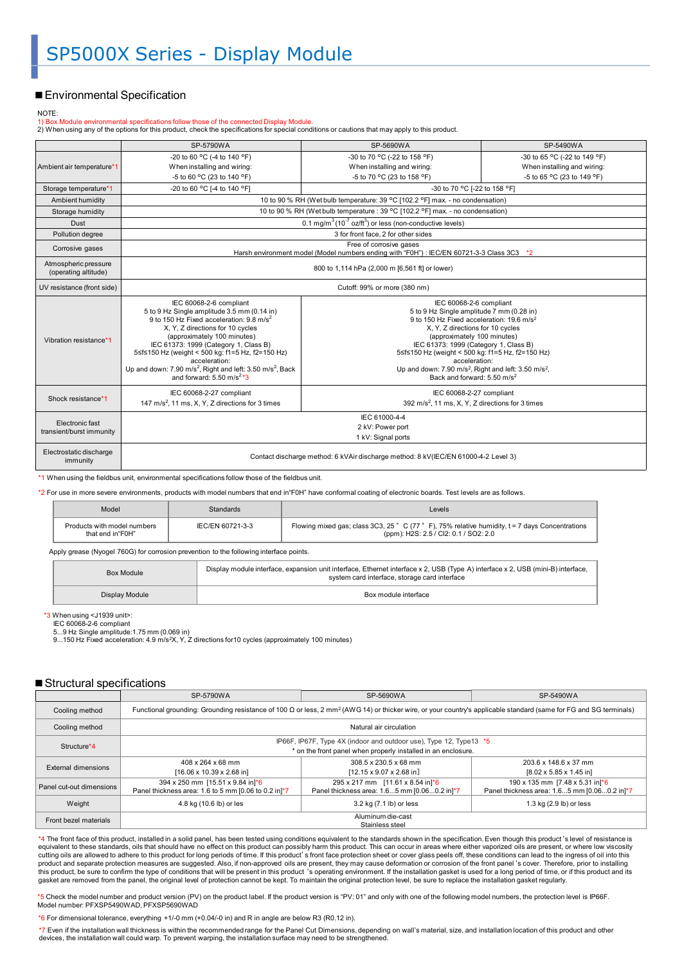### ■ Environmental Specification

#### NOTE:

1) Box Module environmental specifications follow those of the connected Display Module.<br>2) When using any of the options for this product, check the specifications for special conditions or cautions that may apply to this

|                                              | SP-5790WA                                                                                                                                                                                                                                                                                                                                                                                                                                                  | SP-5690WA                                                                                                                                                                                                                                                                                                                                                                                                                                 | SP-5490WA                                                 |  |
|----------------------------------------------|------------------------------------------------------------------------------------------------------------------------------------------------------------------------------------------------------------------------------------------------------------------------------------------------------------------------------------------------------------------------------------------------------------------------------------------------------------|-------------------------------------------------------------------------------------------------------------------------------------------------------------------------------------------------------------------------------------------------------------------------------------------------------------------------------------------------------------------------------------------------------------------------------------------|-----------------------------------------------------------|--|
| Ambient air temperature*1                    | -20 to 60 °C (-4 to 140 °F)                                                                                                                                                                                                                                                                                                                                                                                                                                | -30 to 70 °C (-22 to 158 °F)                                                                                                                                                                                                                                                                                                                                                                                                              | -30 to 65 °C (-22 to 149 °F)                              |  |
|                                              | When installing and wiring:<br>-5 to 60 °C (23 to 140 °F)                                                                                                                                                                                                                                                                                                                                                                                                  | When installing and wiring:<br>-5 to 70 °C (23 to 158 °F)                                                                                                                                                                                                                                                                                                                                                                                 | When installing and wiring:<br>-5 to 65 °C (23 to 149 °F) |  |
| Storage temperature*1                        | -20 to 60 °C I-4 to 140 °F1                                                                                                                                                                                                                                                                                                                                                                                                                                | -30 to 70 °C [-22 to 158 °F]                                                                                                                                                                                                                                                                                                                                                                                                              |                                                           |  |
| Ambient humidity                             |                                                                                                                                                                                                                                                                                                                                                                                                                                                            | 10 to 90 % RH (Wet bulb temperature: 39 °C [102.2 °F] max. - no condensation)                                                                                                                                                                                                                                                                                                                                                             |                                                           |  |
|                                              |                                                                                                                                                                                                                                                                                                                                                                                                                                                            | 10 to 90 % RH (Wet bulb temperature : 39 °C [102.2 °F] max. - no condensation)                                                                                                                                                                                                                                                                                                                                                            |                                                           |  |
| Storage humidity                             |                                                                                                                                                                                                                                                                                                                                                                                                                                                            |                                                                                                                                                                                                                                                                                                                                                                                                                                           |                                                           |  |
| Dust                                         |                                                                                                                                                                                                                                                                                                                                                                                                                                                            | 0.1 mg/m <sup>3</sup> (10 <sup>-7</sup> oz/ft <sup>3</sup> ) or less (non-conductive levels)                                                                                                                                                                                                                                                                                                                                              |                                                           |  |
| Pollution degree                             |                                                                                                                                                                                                                                                                                                                                                                                                                                                            | 3 for front face, 2 for other sides                                                                                                                                                                                                                                                                                                                                                                                                       |                                                           |  |
| Corrosive gases                              |                                                                                                                                                                                                                                                                                                                                                                                                                                                            | Free of corrosive gases<br>Harsh environment model (Model numbers ending with "F0H") : IEC/EN 60721-3-3 Class 3C3 *2                                                                                                                                                                                                                                                                                                                      |                                                           |  |
| Atmospheric pressure<br>(operating altitude) | 800 to 1,114 hPa (2,000 m [6,561 ft] or lower)                                                                                                                                                                                                                                                                                                                                                                                                             |                                                                                                                                                                                                                                                                                                                                                                                                                                           |                                                           |  |
| UV resistance (front side)                   | Cutoff: 99% or more (380 nm)                                                                                                                                                                                                                                                                                                                                                                                                                               |                                                                                                                                                                                                                                                                                                                                                                                                                                           |                                                           |  |
| Vibration resistance*1                       | IEC 60068-2-6 compliant<br>5 to 9 Hz Single amplitude 3.5 mm (0.14 in)<br>9 to 150 Hz Fixed acceleration: 9.8 m/s <sup>2</sup><br>X, Y, Z directions for 10 cycles<br>(approximately 100 minutes)<br>IEC 61373: 1999 (Category 1, Class B)<br>5≤f≤150 Hz (weight < 500 kg: f1=5 Hz, f2=150 Hz)<br>acceleration:<br>Up and down: 7.90 m/s <sup>2</sup> , Right and left: 3.50 m/s <sup>2</sup> , Back<br>and forward: 5.50 m/s <sup>2<math>*</math></sup> 3 | IEC 60068-2-6 compliant<br>5 to 9 Hz Single amplitude 7 mm (0.28 in)<br>9 to 150 Hz Fixed acceleration: 19.6 m/s <sup>2</sup><br>X, Y, Z directions for 10 cycles<br>(approximately 100 minutes)<br>IEC 61373: 1999 (Category 1, Class B)<br>5≤f≤150 Hz (weight < 500 kg: f1=5 Hz, f2=150 Hz)<br>acceleration:<br>Up and down: 7.90 m/s <sup>2</sup> , Right and left: 3.50 m/s <sup>2</sup> ,<br>Back and forward: 5.50 m/s <sup>2</sup> |                                                           |  |
| Shock resistance*1                           | IEC 60068-2-27 compliant<br>147 m/s <sup>2</sup> , 11 ms, X, Y, Z directions for 3 times                                                                                                                                                                                                                                                                                                                                                                   | IEC 60068-2-27 compliant<br>392 m/s <sup>2</sup> , 11 ms, X, Y, Z directions for 3 times                                                                                                                                                                                                                                                                                                                                                  |                                                           |  |
| Electronic fast<br>transient/burst immunity  | IEC 61000-4-4<br>2 kV: Power port<br>1 kV: Signal ports                                                                                                                                                                                                                                                                                                                                                                                                    |                                                                                                                                                                                                                                                                                                                                                                                                                                           |                                                           |  |
| Electrostatic discharge<br>immunity          | Contact discharge method: 6 kVAir discharge method: 8 kV(IEC/EN 61000-4-2 Level 3)                                                                                                                                                                                                                                                                                                                                                                         |                                                                                                                                                                                                                                                                                                                                                                                                                                           |                                                           |  |

\*1 When using the fieldbus unit, environmental specifications follow those of the fieldbus unit.

\*2 For use in more severe environments, products with model numbers that end in"F0H" have conformal coating of electronic boards. Test levels are as follows.

| Model                                           | <b>Standards</b> | Levels                                                                                                                                     |
|-------------------------------------------------|------------------|--------------------------------------------------------------------------------------------------------------------------------------------|
| Products with model numbers<br>that end in"F0H" | IEC/EN 60721-3-3 | Flowing mixed gas; class 3C3, 25 ° C (77 ° F), 75% relative humidity, $t = 7$ days Concentrations<br>(ppm): H2S: 2.5 / Cl2: 0.1 / SO2: 2.0 |

Apply grease (Nyogel 760G) for corrosion prevention to the following interface points.

| Box Module     | Display module interface, expansion unit interface, Ethernet interface x 2, USB (Type A) interface x 2, USB (mini-B) interface,<br>system card interface, storage card interface |
|----------------|----------------------------------------------------------------------------------------------------------------------------------------------------------------------------------|
| Display Module | Box module interface                                                                                                                                                             |

\*3 When using <J1939 unit>: IEC 60068-2-6 compliant

5...9 Hz Single amplitude:1.75 mm (0.069 in) 9...150 Hz Fixed acceleration: 4.9 m/s2X, Y, Z directions for10 cycles (approximately 100 minutes)

#### ■ Structural specifications

|                          | SP-5790WA                                                                                                                                                                            | SP-5690WA                                                                        | SP-5490WA                                                                                   |
|--------------------------|--------------------------------------------------------------------------------------------------------------------------------------------------------------------------------------|----------------------------------------------------------------------------------|---------------------------------------------------------------------------------------------|
| Cooling method           | Functional grounding: Grounding resistance of 100 $\Omega$ or less, 2 mm <sup>2</sup> (AWG 14) or thicker wire, or your country's applicable standard (same for FG and SG terminals) |                                                                                  |                                                                                             |
| Cooling method           | Natural air circulation                                                                                                                                                              |                                                                                  |                                                                                             |
| Structure*4              | IP66F, IP67F, Type 4X (indoor and outdoor use), Type 12, Type13 *5<br>* on the front panel when properly installed in an enclosure.                                                  |                                                                                  |                                                                                             |
| External dimensions      | 408 x 264 x 68 mm<br>$[16.06 \times 10.39 \times 2.68]$ in                                                                                                                           | 308.5 x 230.5 x 68 mm<br>$[12.15 \times 9.07 \times 2.68]$ in]                   | 203.6 x 148.6 x 37 mm<br>$[8.02 \times 5.85 \times 1.45]$ in                                |
| Panel cut-out dimensions | 394 x 250 mm [15.51 x 9.84 in]*6<br>Panel thickness area: 1.6 to 5 mm [0.06 to 0.2 in]*7                                                                                             | 295 x 217 mm [11.61 x 8.54 in]*6<br>Panel thickness area: 1.65 mm [0.060.2 in]*7 | 190 x 135 mm [7.48 x 5.31 in] <sup>*6</sup><br>Panel thickness area: 1.65 mm [0.060.2 in]*7 |
| Weight                   | 4.8 kg (10.6 lb) or les                                                                                                                                                              | 3.2 kg (7.1 lb) or less                                                          | 1.3 kg (2.9 lb) or less                                                                     |
| Front bezel materials    | Aluminum die-cast<br>Stainless steel                                                                                                                                                 |                                                                                  |                                                                                             |

\*4 The front face of this product, installed in a solid panel, has been tested using conditions equivalent to the standards shown in the specification. Even though this product's level of resistance is equivalent to these standards, oils that should have no effect on this product can possibly harm this product. This can occur in areas where either vaporized oils are present, or where low viscosity<br>cutting oils are allowe product and separate protection measures are suggested. Also, if non-approved oils are present, they may cause deformation or corrosion of the front panel's cover. Therefore, prior to installing this product, be sure to confirm the type of conditions that will be present in this product 's operating environment. If the installation gasket is used for a long period of time, or if this product and its<br>gasket are rem

\*5 Check the model number and product version (PV) on the product label. If the product version is "PV: 01" and only with one of the following model numbers, the protection level is IP66F.<br>Model number: PFXSP5490WAD, PFXSP

 $*6$  For dimensional tolerance, everything +1/-0 mm (+0.04/-0 in) and R in angle are below R3 (R0.12 in).

\*7 Even if the installation wall thickness is within the recommended range for the Panel Cut Dimensions, depending on wall's material, size, and installation location of this product and other devices, the installation wall could warp. To prevent warping, the installation surface may need to be strengthened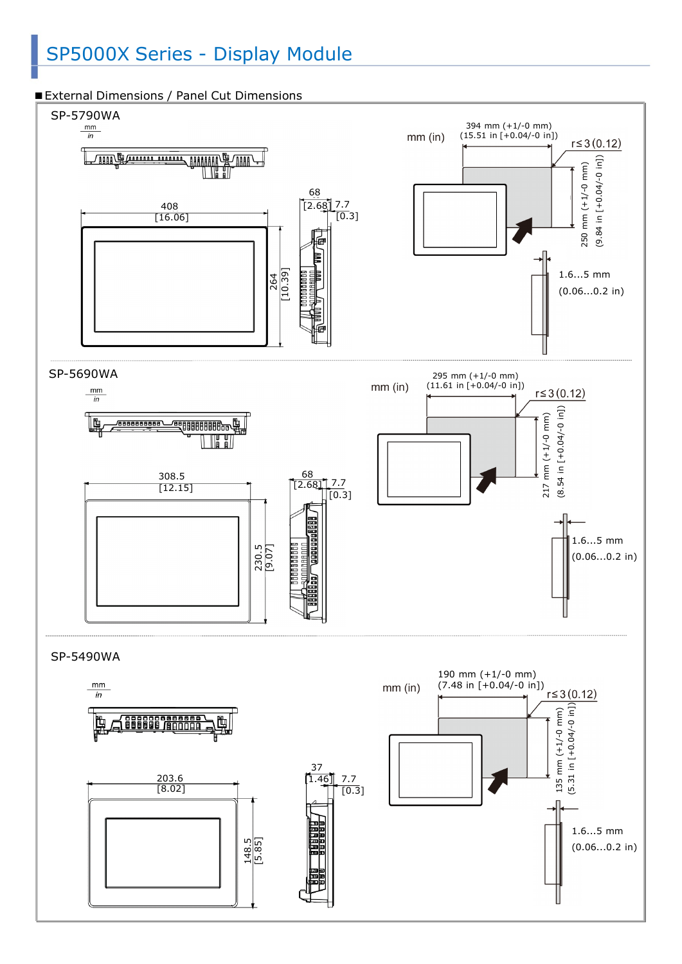## SP5000X Series - Display Module



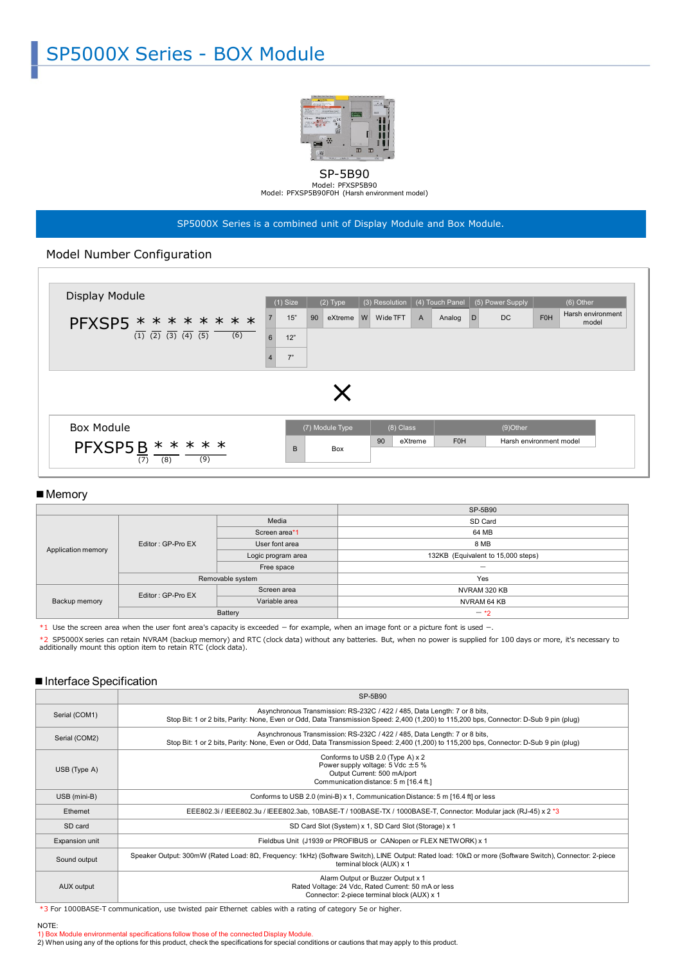

SP-5B90 Model: PFXSP5B90 Model: PFXSP5B90F0H (Harsh environment model)

SP5000X Series is a combined unit of Display Module and Box Module.

## Model Number Configuration



#### ■ Memory

|                    |                   |                    | SP-5B90                            |  |
|--------------------|-------------------|--------------------|------------------------------------|--|
| Application memory | Editor: GP-Pro EX | Media              | SD Card                            |  |
|                    |                   | Screen area*1      | 64 MB                              |  |
|                    |                   | User font area     | 8 MB                               |  |
|                    |                   | Logic program area | 132KB (Equivalent to 15,000 steps) |  |
|                    |                   | Free space         | $\sim$                             |  |
|                    | Removable system  |                    | Yes                                |  |
| Backup memory      | Editor: GP-Pro EX | Screen area        | NVRAM 320 KB                       |  |
|                    |                   | Variable area      | NVRAM 64 KB                        |  |
|                    |                   | Battery            | $-1$                               |  |

\*1 Use the screen area when the user font area's capacity is exceeded – for example, when an image font or a picture font is used –.

\*2 SP5000X series can retain NVRAM (backup memory) and RTC (clock data) without any batteries. But, when no power is supplied for 100 days or more, it's necessary to<br>additionally mount this option item to retain RTC (clock

#### ■ Interface Specification

|                | SP-5B90                                                                                                                                                                                                             |  |
|----------------|---------------------------------------------------------------------------------------------------------------------------------------------------------------------------------------------------------------------|--|
| Serial (COM1)  | Asynchronous Transmission: RS-232C / 422 / 485, Data Length: 7 or 8 bits,<br>Stop Bit: 1 or 2 bits, Parity: None, Even or Odd, Data Transmission Speed: 2,400 (1,200) to 115,200 bps, Connector: D-Sub 9 pin (plug) |  |
| Serial (COM2)  | Asynchronous Transmission: RS-232C / 422 / 485, Data Length: 7 or 8 bits,<br>Stop Bit: 1 or 2 bits, Parity: None, Even or Odd, Data Transmission Speed: 2,400 (1,200) to 115,200 bps, Connector: D-Sub 9 pin (plug) |  |
| $USB$ (Type A) | Conforms to USB 2.0 (Type A) x 2<br>Power supply voltage: $5$ Vdc $\pm 5$ %<br>Output Current: 500 mA/port<br>Communication distance: 5 m [16.4 ft.]                                                                |  |
| USB (mini-B)   | Conforms to USB 2.0 (mini-B) x 1, Communication Distance: 5 m [16.4 ft] or less                                                                                                                                     |  |
| Ethernet       | EEE802.3i / IEEE802.3u / IEEE802.3ab, 10BASE-T / 100BASE-TX / 1000BASE-T, Connector: Modular jack (RJ-45) x 2 *3                                                                                                    |  |
| SD card        | SD Card Slot (System) x 1, SD Card Slot (Storage) x 1                                                                                                                                                               |  |
| Expansion unit | Fieldbus Unit (J1939 or PROFIBUS or CANopen or FLEX NETWORK) x 1                                                                                                                                                    |  |
| Sound output   | Speaker Output: 300mW (Rated Load: 8Ω, Frequency: 1kHz) (Software Switch), LINE Output: Rated load: 10kΩ or more (Software Switch), Connector: 2-piece<br>terminal block (AUX) x 1                                  |  |
| AUX output     | Alarm Output or Buzzer Output x 1<br>Rated Voltage: 24 Vdc, Rated Current: 50 mA or less<br>Connector: 2-piece terminal block (AUX) x 1                                                                             |  |

\*3 For 1000BASE-T communication, use twisted pair Ethernet cables with a rating of category 5e or higher.

## NOTE:

1) Box Module environmental specifications follow those of the connected Display Module.<br>2) When using any of the options for this product, check the specifications for special conditions or cautions that may apply to this